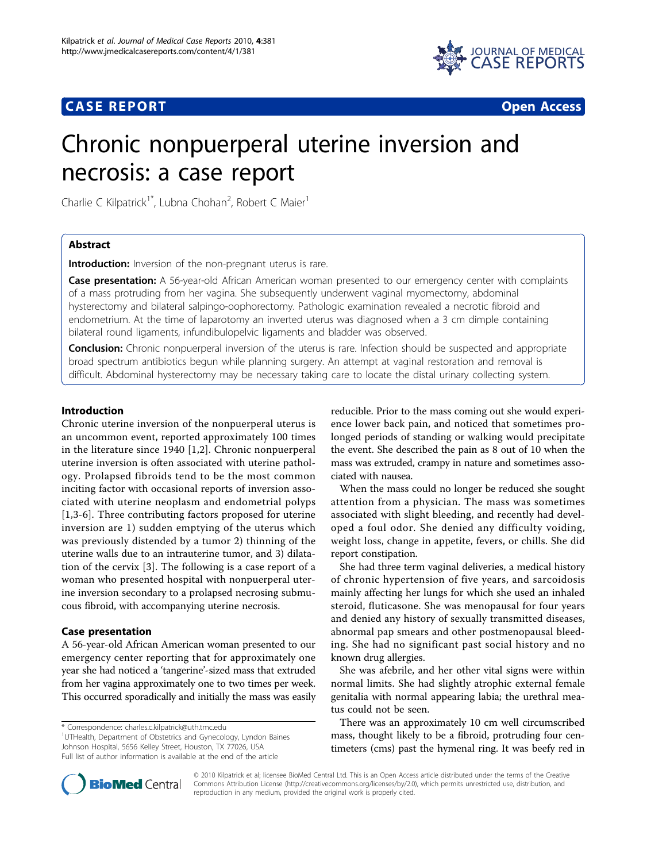# **CASE REPORT CASE REPORT CASE REPORT**



# Chronic nonpuerperal uterine inversion and necrosis: a case report

Charlie C Kilpatrick<sup>1\*</sup>, Lubna Chohan<sup>2</sup>, Robert C Maier<sup>1</sup>

# Abstract

Introduction: Inversion of the non-pregnant uterus is rare.

Case presentation: A 56-year-old African American woman presented to our emergency center with complaints of a mass protruding from her vagina. She subsequently underwent vaginal myomectomy, abdominal hysterectomy and bilateral salpingo-oophorectomy. Pathologic examination revealed a necrotic fibroid and endometrium. At the time of laparotomy an inverted uterus was diagnosed when a 3 cm dimple containing bilateral round ligaments, infundibulopelvic ligaments and bladder was observed.

**Conclusion:** Chronic nonpuerperal inversion of the uterus is rare. Infection should be suspected and appropriate broad spectrum antibiotics begun while planning surgery. An attempt at vaginal restoration and removal is difficult. Abdominal hysterectomy may be necessary taking care to locate the distal urinary collecting system.

## Introduction

Chronic uterine inversion of the nonpuerperal uterus is an uncommon event, reported approximately 100 times in the literature since 1940 [\[1](#page-2-0),[2\]](#page-2-0). Chronic nonpuerperal uterine inversion is often associated with uterine pathology. Prolapsed fibroids tend to be the most common inciting factor with occasional reports of inversion associated with uterine neoplasm and endometrial polyps [[1,3](#page-2-0)-[6](#page-2-0)]. Three contributing factors proposed for uterine inversion are 1) sudden emptying of the uterus which was previously distended by a tumor 2) thinning of the uterine walls due to an intrauterine tumor, and 3) dilatation of the cervix [[3\]](#page-2-0). The following is a case report of a woman who presented hospital with nonpuerperal uterine inversion secondary to a prolapsed necrosing submucous fibroid, with accompanying uterine necrosis.

# Case presentation

A 56-year-old African American woman presented to our emergency center reporting that for approximately one year she had noticed a 'tangerine'-sized mass that extruded from her vagina approximately one to two times per week. This occurred sporadically and initially the mass was easily

\* Correspondence: [charles.c.kilpatrick@uth.tmc.edu](mailto:charles.c.kilpatrick@uth.tmc.edu)

<sup>1</sup>UTHealth, Department of Obstetrics and Gynecology, Lyndon Baines Johnson Hospital, 5656 Kelley Street, Houston, TX 77026, USA Full list of author information is available at the end of the article

reducible. Prior to the mass coming out she would experience lower back pain, and noticed that sometimes prolonged periods of standing or walking would precipitate the event. She described the pain as 8 out of 10 when the mass was extruded, crampy in nature and sometimes associated with nausea.

When the mass could no longer be reduced she sought attention from a physician. The mass was sometimes associated with slight bleeding, and recently had developed a foul odor. She denied any difficulty voiding, weight loss, change in appetite, fevers, or chills. She did report constipation.

She had three term vaginal deliveries, a medical history of chronic hypertension of five years, and sarcoidosis mainly affecting her lungs for which she used an inhaled steroid, fluticasone. She was menopausal for four years and denied any history of sexually transmitted diseases, abnormal pap smears and other postmenopausal bleeding. She had no significant past social history and no known drug allergies.

She was afebrile, and her other vital signs were within normal limits. She had slightly atrophic external female genitalia with normal appearing labia; the urethral meatus could not be seen.

There was an approximately 10 cm well circumscribed mass, thought likely to be a fibroid, protruding four centimeters (cms) past the hymenal ring. It was beefy red in



© 2010 Kilpatrick et al; licensee BioMed Central Ltd. This is an Open Access article distributed under the terms of the Creative Commons Attribution License [\(http://creativecommons.org/licenses/by/2.0](http://creativecommons.org/licenses/by/2.0)), which permits unrestricted use, distribution, and reproduction in any medium, provided the original work is properly cited.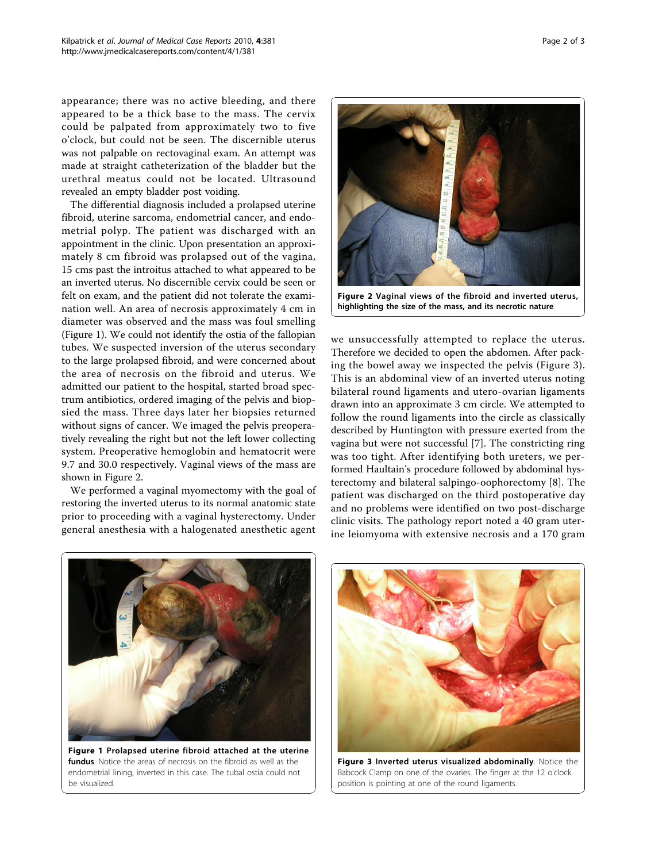appearance; there was no active bleeding, and there appeared to be a thick base to the mass. The cervix could be palpated from approximately two to five o'clock, but could not be seen. The discernible uterus was not palpable on rectovaginal exam. An attempt was made at straight catheterization of the bladder but the urethral meatus could not be located. Ultrasound revealed an empty bladder post voiding.

The differential diagnosis included a prolapsed uterine fibroid, uterine sarcoma, endometrial cancer, and endometrial polyp. The patient was discharged with an appointment in the clinic. Upon presentation an approximately 8 cm fibroid was prolapsed out of the vagina, 15 cms past the introitus attached to what appeared to be an inverted uterus. No discernible cervix could be seen or felt on exam, and the patient did not tolerate the examination well. An area of necrosis approximately 4 cm in diameter was observed and the mass was foul smelling (Figure 1). We could not identify the ostia of the fallopian tubes. We suspected inversion of the uterus secondary to the large prolapsed fibroid, and were concerned about the area of necrosis on the fibroid and uterus. We admitted our patient to the hospital, started broad spectrum antibiotics, ordered imaging of the pelvis and biopsied the mass. Three days later her biopsies returned without signs of cancer. We imaged the pelvis preoperatively revealing the right but not the left lower collecting system. Preoperative hemoglobin and hematocrit were 9.7 and 30.0 respectively. Vaginal views of the mass are shown in Figure 2.

We performed a vaginal myomectomy with the goal of restoring the inverted uterus to its normal anatomic state prior to proceeding with a vaginal hysterectomy. Under general anesthesia with a halogenated anesthetic agent



highlighting the size of the mass, and its necrotic nature.

we unsuccessfully attempted to replace the uterus. Therefore we decided to open the abdomen. After packing the bowel away we inspected the pelvis (Figure 3). This is an abdominal view of an inverted uterus noting bilateral round ligaments and utero-ovarian ligaments drawn into an approximate 3 cm circle. We attempted to follow the round ligaments into the circle as classically described by Huntington with pressure exerted from the vagina but were not successful [\[7](#page-2-0)]. The constricting ring was too tight. After identifying both ureters, we performed Haultain's procedure followed by abdominal hysterectomy and bilateral salpingo-oophorectomy [[8\]](#page-2-0). The patient was discharged on the third postoperative day and no problems were identified on two post-discharge clinic visits. The pathology report noted a 40 gram uterine leiomyoma with extensive necrosis and a 170 gram



Figure 1 Prolapsed uterine fibroid attached at the uterine fundus. Notice the areas of necrosis on the fibroid as well as the endometrial lining, inverted in this case. The tubal ostia could not be visualized.



Figure 3 Inverted uterus visualized abdominally. Notice the Babcock Clamp on one of the ovaries. The finger at the 12 o'clock position is pointing at one of the round ligaments.